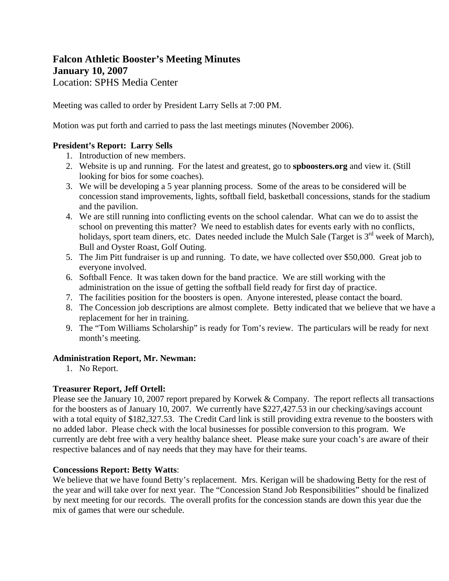# **Falcon Athletic Booster's Meeting Minutes January 10, 2007**  Location: SPHS Media Center

Meeting was called to order by President Larry Sells at 7:00 PM.

Motion was put forth and carried to pass the last meetings minutes (November 2006).

# **President's Report: Larry Sells**

- 1. Introduction of new members.
- 2. Website is up and running. For the latest and greatest, go to **spboosters.org** and view it. (Still looking for bios for some coaches).
- 3. We will be developing a 5 year planning process. Some of the areas to be considered will be concession stand improvements, lights, softball field, basketball concessions, stands for the stadium and the pavilion.
- 4. We are still running into conflicting events on the school calendar. What can we do to assist the school on preventing this matter? We need to establish dates for events early with no conflicts, holidays, sport team diners, etc. Dates needed include the Mulch Sale (Target is 3<sup>rd</sup> week of March), Bull and Oyster Roast, Golf Outing.
- 5. The Jim Pitt fundraiser is up and running. To date, we have collected over \$50,000. Great job to everyone involved.
- 6. Softball Fence. It was taken down for the band practice. We are still working with the administration on the issue of getting the softball field ready for first day of practice.
- 7. The facilities position for the boosters is open. Anyone interested, please contact the board.
- 8. The Concession job descriptions are almost complete. Betty indicated that we believe that we have a replacement for her in training.
- 9. The "Tom Williams Scholarship" is ready for Tom's review. The particulars will be ready for next month's meeting.

# **Administration Report, Mr. Newman:**

1. No Report.

# **Treasurer Report, Jeff Ortell:**

Please see the January 10, 2007 report prepared by Korwek & Company. The report reflects all transactions for the boosters as of January 10, 2007. We currently have \$227,427.53 in our checking/savings account with a total equity of \$182,327.53. The Credit Card link is still providing extra revenue to the boosters with no added labor. Please check with the local businesses for possible conversion to this program. We currently are debt free with a very healthy balance sheet. Please make sure your coach's are aware of their respective balances and of nay needs that they may have for their teams.

# **Concessions Report: Betty Watts**:

We believe that we have found Betty's replacement. Mrs. Kerigan will be shadowing Betty for the rest of the year and will take over for next year. The "Concession Stand Job Responsibilities" should be finalized by next meeting for our records. The overall profits for the concession stands are down this year due the mix of games that were our schedule.